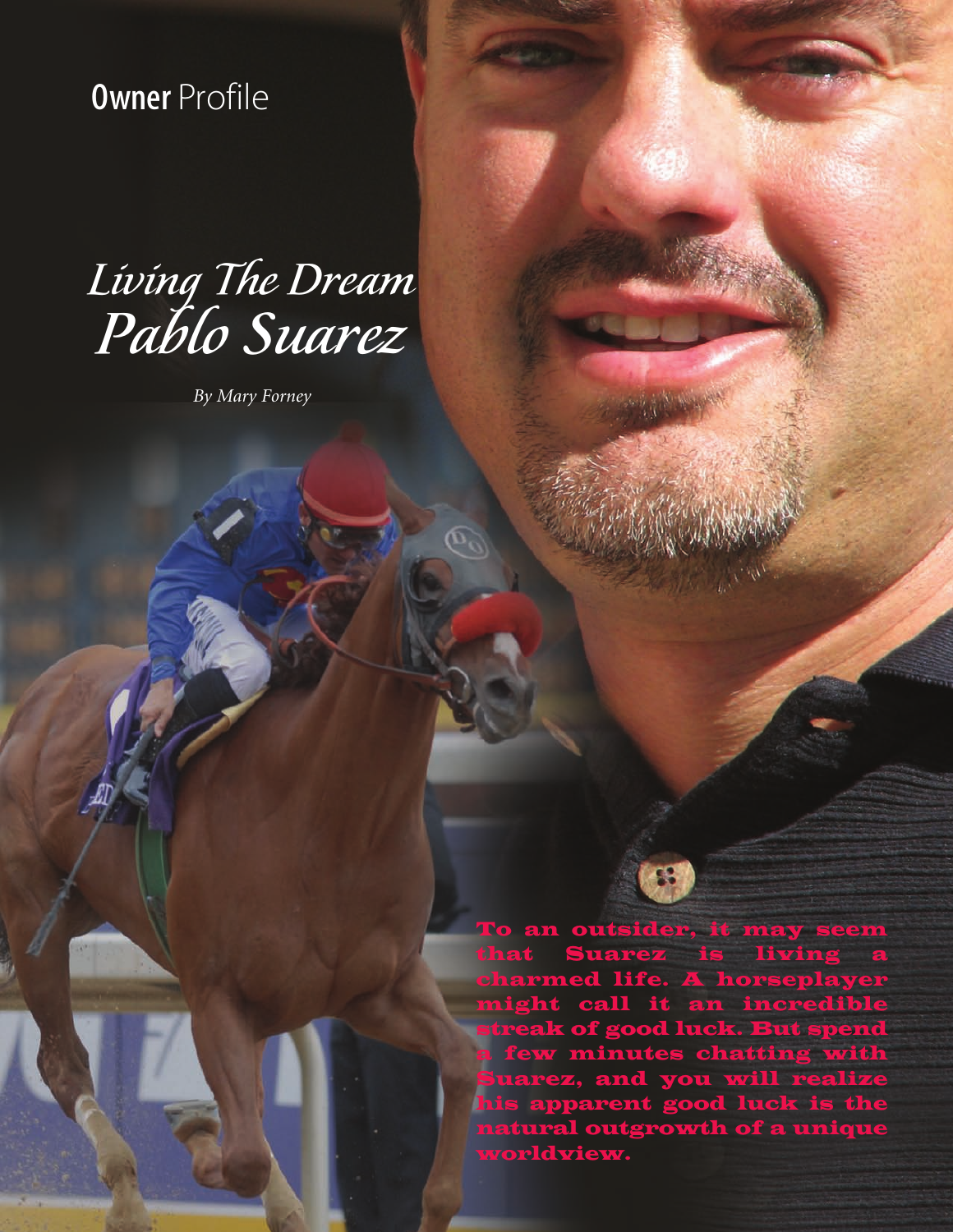Owner Profile

wners' O' C

## Living The Dream Pablo Suarez

*By Mary Forney*

an outsider, it may seem Suarez is living rmed life. A horse ll it an incredi of good luck. But spe few minutes chatting wi arez, and you will realize his apparent good luck is the natural outgrowth of a unique worldview.

**8 ircle of the second contract of the second contract of the second contract of the second contract of the second**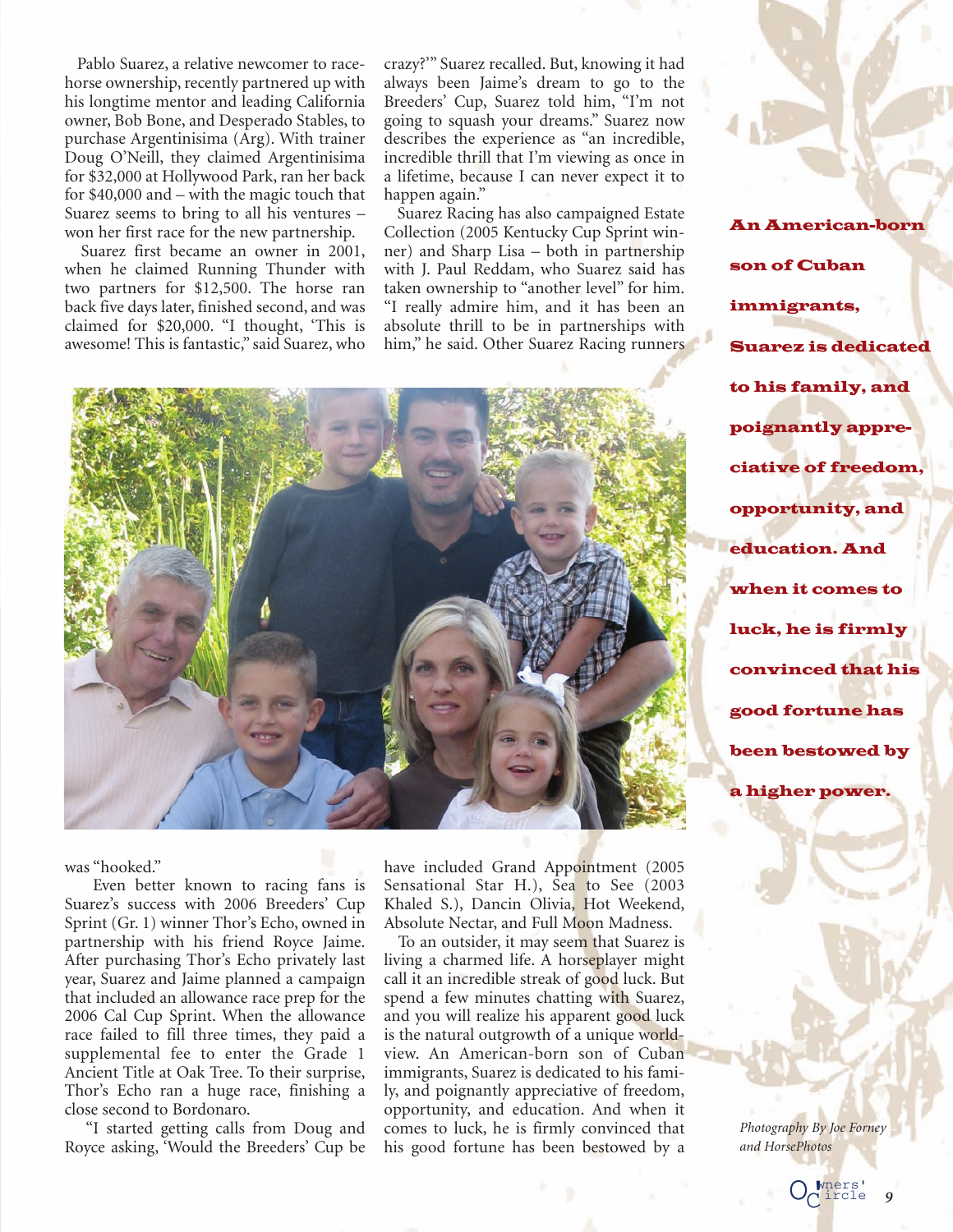Pablo Suarez, a relative newcomer to racehorse ownership, recently partnered up with his longtime mentor and leading California owner, Bob Bone, and Desperado Stables, to purchase Argentinisima (Arg). With trainer Doug O'Neill, they claimed Argentinisima for \$32,000 at Hollywood Park, ran her back for \$40,000 and – with the magic touch that Suarez seems to bring to all his ventures – won her first race for the new partnership.

Suarez first became an owner in 2001, when he claimed Running Thunder with two partners for \$12,500. The horse ran back five days later, finished second, and was claimed for \$20,000. "I thought, 'This is awesome! This is fantastic," said Suarez, who

crazy?'" Suarez recalled. But, knowing it had always been Jaime's dream to go to the Breeders' Cup, Suarez told him, "I'm not going to squash your dreams." Suarez now describes the experience as "an incredible, incredible thrill that I'm viewing as once in a lifetime, because I can never expect it to happen again."

Suarez Racing has also campaigned Estate Collection (2005 Kentucky Cup Sprint winner) and Sharp Lisa – both in partnership with J. Paul Reddam, who Suarez said has taken ownership to "another level" for him. "I really admire him, and it has been an absolute thrill to be in partnerships with him," he said. Other Suarez Racing runners



An American-born son of Cuban immigrants, Suarez is dedicated to his family, and poignantly appreciative of freedom, opportunity, and education. And when it comes to luck, he is firmly convinced that his good fortune has been bestowed by a higher power.

was "hooked."

Even better known to racing fans is Suarez's success with 2006 Breeders' Cup Sprint (Gr. 1) winner Thor's Echo, owned in partnership with his friend Royce Jaime. After purchasing Thor's Echo privately last year, Suarez and Jaime planned a campaign that included an allowance race prep for the 2006 Cal Cup Sprint. When the allowance race failed to fill three times, they paid a supplemental fee to enter the Grade 1 Ancient Title at Oak Tree. To their surprise, Thor's Echo ran a huge race, finishing a close second to Bordonaro.

"I started getting calls from Doug and Royce asking, 'Would the Breeders' Cup be have included Grand Appointment (2005 Sensational Star H.), Sea to See (2003 Khaled S.), Dancin Olivia, Hot Weekend, Absolute Nectar, and Full Moon Madness.

To an outsider, it may seem that Suarez is living a charmed life. A horseplayer might call it an incredible streak of good luck. But spend a few minutes chatting with Suarez, and you will realize his apparent good luck is the natural outgrowth of a unique worldview. An American-born son of Cuban immigrants, Suarez is dedicated to his family, and poignantly appreciative of freedom, opportunity, and education. And when it comes to luck, he is firmly convinced that his good fortune has been bestowed by a

*Photography By Joe Forney and HorsePhotos*